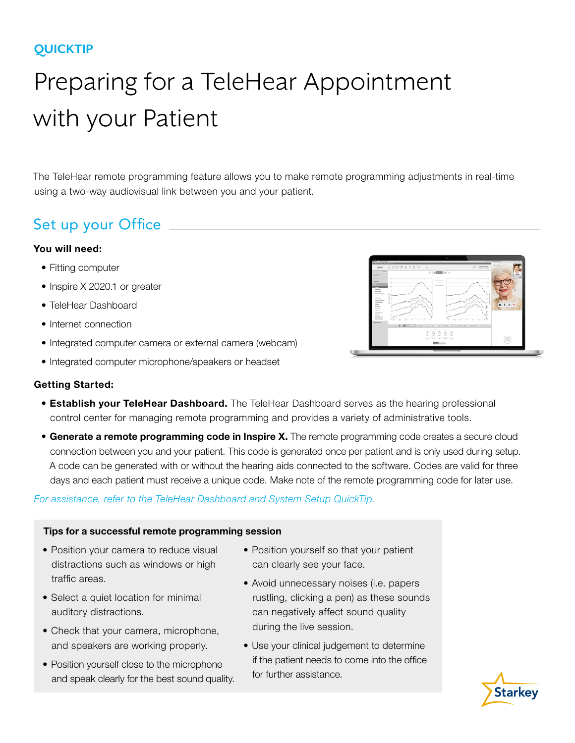### **QUICKTIP**

# Preparing for a TeleHear Appointment with your Patient

The TeleHear remote programming feature allows you to make remote programming adjustments in real-time using a two-way audiovisual link between you and your patient.

## Set up your Office

#### You will need:

- Fitting computer
- Inspire X 2020.1 or greater
- TeleHear Dashboard
- Internet connection
- Integrated computer camera or external camera (webcam)
- Integrated computer microphone/speakers or headset



#### Getting Started:

- **Establish your TeleHear Dashboard.** The TeleHear Dashboard serves as the hearing professional control center for managing remote programming and provides a variety of administrative tools.
- Generate a remote programming code in Inspire X. The remote programming code creates a secure cloud connection between you and your patient. This code is generated once per patient and is only used during setup. A code can be generated with or without the hearing aids connected to the software. Codes are valid for three days and each patient must receive a unique code. Make note of the remote programming code for later use.

*For assistance, refer to the TeleHear Dashboard and System Setup QuickTip.*

#### Tips for a successful remote programming session

- Position your camera to reduce visual distractions such as windows or high traffic areas.
- Select a quiet location for minimal auditory distractions.
- Check that your camera, microphone, and speakers are working properly.
- Position yourself close to the microphone and speak clearly for the best sound quality.
- Position yourself so that your patient can clearly see your face.
- Avoid unnecessary noises (i.e. papers rustling, clicking a pen) as these sounds can negatively affect sound quality during the live session.
- Use your clinical judgement to determine if the patient needs to come into the office for further assistance.